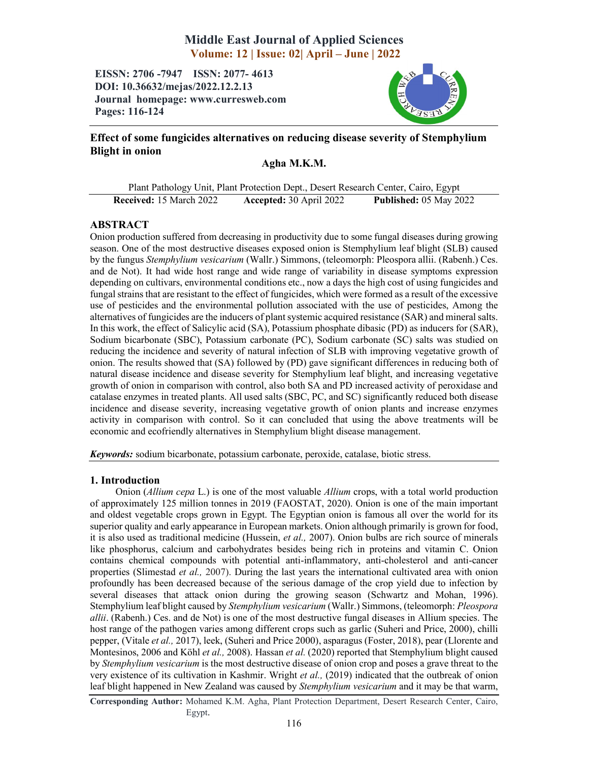# Middle East Journal of Applied Sciences Volume: 12 | Issue: 02| April – June | 2022

EISSN: 2706 -7947 ISSN: 2077- 4613 DOI: 10.36632/mejas/2022.12.2.13 Journal homepage: www.curresweb.com Pages: 116-124



# Effect of some fungicides alternatives on reducing disease severity of Stemphylium Blight in onion

# Agha M.K.M.

|                                | Plant Pathology Unit, Plant Protection Dept., Desert Research Center, Cairo, Egypt |                               |
|--------------------------------|------------------------------------------------------------------------------------|-------------------------------|
| <b>Received:</b> 15 March 2022 | Accepted: 30 April 2022                                                            | <b>Published: 05 May 2022</b> |

## ABSTRACT

Onion production suffered from decreasing in productivity due to some fungal diseases during growing season. One of the most destructive diseases exposed onion is Stemphylium leaf blight (SLB) caused by the fungus *Stemphylium vesicarium* (Wallr.) Simmons, (teleomorph: Pleospora allii. (Rabenh.) Ces. and de Not). It had wide host range and wide range of variability in disease symptoms expression depending on cultivars, environmental conditions etc., now a days the high cost of using fungicides and fungal strains that are resistant to the effect of fungicides, which were formed as a result of the excessive use of pesticides and the environmental pollution associated with the use of pesticides, Among the alternatives of fungicides are the inducers of plant systemic acquired resistance (SAR) and mineral salts. In this work, the effect of Salicylic acid (SA), Potassium phosphate dibasic (PD) as inducers for (SAR), Sodium bicarbonate (SBC), Potassium carbonate (PC), Sodium carbonate (SC) salts was studied on reducing the incidence and severity of natural infection of SLB with improving vegetative growth of onion. The results showed that (SA) followed by (PD) gave significant differences in reducing both of natural disease incidence and disease severity for Stemphylium leaf blight, and increasing vegetative growth of onion in comparison with control, also both SA and PD increased activity of peroxidase and catalase enzymes in treated plants. All used salts (SBC, PC, and SC) significantly reduced both disease incidence and disease severity, increasing vegetative growth of onion plants and increase enzymes activity in comparison with control. So it can concluded that using the above treatments will be economic and ecofriendly alternatives in Stemphylium blight disease management.

*Keywords:* sodium bicarbonate, potassium carbonate, peroxide, catalase, biotic stress.

## 1. Introduction

Onion (*Allium cepa* L.) is one of the most valuable *Allium* crops, with a total world production of approximately 125 million tonnes in 2019 (FAOSTAT, 2020). Onion is one of the main important and oldest vegetable crops grown in Egypt. The Egyptian onion is famous all over the world for its superior quality and early appearance in European markets. Onion although primarily is grown for food, it is also used as traditional medicine (Hussein, *et al.,* 2007). Onion bulbs are rich source of minerals like phosphorus, calcium and carbohydrates besides being rich in proteins and vitamin C. Onion contains chemical compounds with potential anti-inflammatory, anti-cholesterol and anti-cancer properties (Slimestad *et al.,* 2007). During the last years the international cultivated area with onion profoundly has been decreased because of the serious damage of the crop yield due to infection by several diseases that attack onion during the growing season (Schwartz and Mohan, 1996). Stemphylium leaf blight caused by *Stemphylium vesicarium* (Wallr.) Simmons, (teleomorph: *Pleospora allii*. (Rabenh.) Ces. and de Not) is one of the most destructive fungal diseases in Allium species. The host range of the pathogen varies among different crops such as garlic (Suheri and Price, 2000), chilli pepper, (Vitale *et al.,* 2017), leek, (Suheri and Price 2000), asparagus (Foster, 2018), pear (Llorente and Montesinos, 2006 and Köhl *et al.,* 2008). Hassan *et al.* (2020) reported that Stemphylium blight caused by *Stemphylium vesicarium* is the most destructive disease of onion crop and poses a grave threat to the very existence of its cultivation in Kashmir. Wright *et al.,* (2019) indicated that the outbreak of onion leaf blight happened in New Zealand was caused by *Stemphylium vesicarium* and it may be that warm,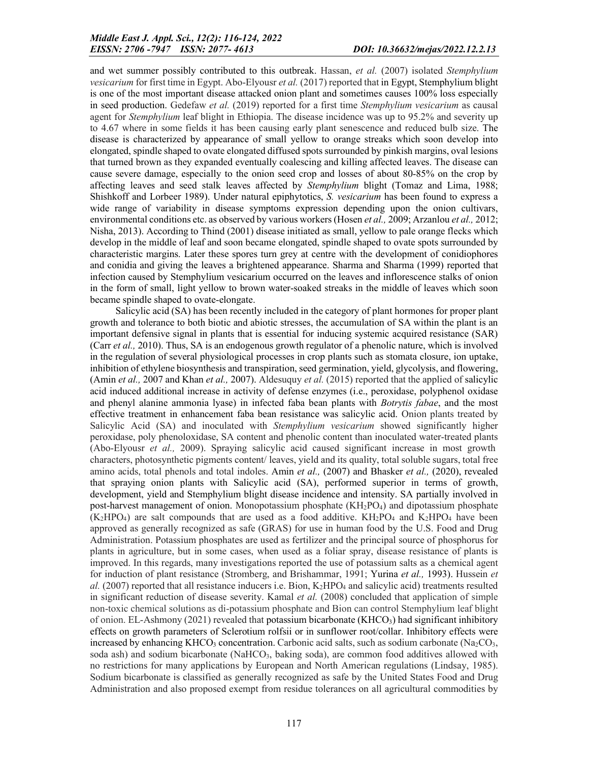and wet summer possibly contributed to this outbreak. Hassan, *et al.* (2007) isolated *Stemphylium vesicarium* for first time in Egypt. Abo-Elyousr *et al.* (2017) reported that in Egypt, Stemphylium blight is one of the most important disease attacked onion plant and sometimes causes 100% loss especially in seed production. Gedefaw *et al.* (2019) reported for a first time *Stemphylium vesicarium* as causal agent for *Stemphylium* leaf blight in Ethiopia. The disease incidence was up to 95.2% and severity up to 4.67 where in some fields it has been causing early plant senescence and reduced bulb size. The disease is characterized by appearance of small yellow to orange streaks which soon develop into elongated, spindle shaped to ovate elongated diffused spots surrounded by pinkish margins, oval lesions that turned brown as they expanded eventually coalescing and killing affected leaves. The disease can cause severe damage, especially to the onion seed crop and losses of about 80-85% on the crop by affecting leaves and seed stalk leaves affected by *Stemphylium* blight (Tomaz and Lima, 1988; Shishkoff and Lorbeer 1989). Under natural epiphytotics, *S. vesicarium* has been found to express a wide range of variability in disease symptoms expression depending upon the onion cultivars, environmental conditions etc. as observed by various workers (Hosen *et al.,* 2009; Arzanlou *et al.,* 2012; Nisha, 2013). According to Thind (2001) disease initiated as small, yellow to pale orange flecks which develop in the middle of leaf and soon became elongated, spindle shaped to ovate spots surrounded by characteristic margins. Later these spores turn grey at centre with the development of conidiophores and conidia and giving the leaves a brightened appearance. Sharma and Sharma (1999) reported that infection caused by Stemphylium vesicarium occurred on the leaves and inflorescence stalks of onion in the form of small, light yellow to brown water-soaked streaks in the middle of leaves which soon became spindle shaped to ovate-elongate.

Salicylic acid (SA) has been recently included in the category of plant hormones for proper plant growth and tolerance to both biotic and abiotic stresses, the accumulation of SA within the plant is an important defensive signal in plants that is essential for inducing systemic acquired resistance (SAR) (Carr *et al.,* 2010). Thus, SA is an endogenous growth regulator of a phenolic nature, which is involved in the regulation of several physiological processes in crop plants such as stomata closure, ion uptake, inhibition of ethylene biosynthesis and transpiration, seed germination, yield, glycolysis, and flowering, (Amin *et al.,* 2007 and Khan *et al.,* 2007). Aldesuquy *et al.* (2015) reported that the applied of salicylic acid induced additional increase in activity of defense enzymes (i.e., peroxidase, polyphenol oxidase and phenyl alanine ammonia lyase) in infected faba bean plants with *Botrytis fabae*, and the most effective treatment in enhancement faba bean resistance was salicylic acid. Onion plants treated by Salicylic Acid (SA) and inoculated with *Stemphylium vesicarium* showed significantly higher peroxidase, poly phenoloxidase, SA content and phenolic content than inoculated water-treated plants (Abo-Elyousr *et al.,* 2009). Spraying salicylic acid caused significant increase in most growth characters, photosynthetic pigments content/ leaves, yield and its quality, total soluble sugars, total free amino acids, total phenols and total indoles. Amin *et al.,* (2007) and Bhasker *et al.,* (2020), revealed that spraying onion plants with Salicylic acid (SA), performed superior in terms of growth, development, yield and Stemphylium blight disease incidence and intensity. SA partially involved in post-harvest management of onion. Monopotassium phosphate  $(KH_2PO_4)$  and dipotassium phosphate  $(K_2HPO_4)$  are salt compounds that are used as a food additive.  $KH_2PO_4$  and  $K_2HPO_4$  have been approved as generally recognized as safe (GRAS) for use in human food by the U.S. Food and Drug Administration. Potassium phosphates are used as fertilizer and the principal source of phosphorus for plants in agriculture, but in some cases, when used as a foliar spray, disease resistance of plants is improved. In this regards, many investigations reported the use of potassium salts as a chemical agent for induction of plant resistance (Stromberg, and Brishammar, 1991; Yurina *et al.,* 1993). Hussein *et al.* (2007) reported that all resistance inducers i.e. Bion, K<sub>2</sub>HPO<sub>4</sub> and salicylic acid) treatments resulted in significant reduction of disease severity. Kamal *et al.* (2008) concluded that application of simple non-toxic chemical solutions as di-potassium phosphate and Bion can control Stemphylium leaf blight of onion. EL-Ashmony (2021) revealed that potassium bicarbonate (KHCO<sub>3</sub>) had significant inhibitory effects on growth parameters of Sclerotium rolfsii or in sunflower root/collar. Inhibitory effects were increased by enhancing KHCO<sub>3</sub> concentration. Carbonic acid salts, such as sodium carbonate (Na<sub>2</sub>CO<sub>3</sub>, soda ash) and sodium bicarbonate (NaHCO<sub>3</sub>, baking soda), are common food additives allowed with no restrictions for many applications by European and North American regulations (Lindsay, 1985). Sodium bicarbonate is classified as generally recognized as safe by the United States Food and Drug Administration and also proposed exempt from residue tolerances on all agricultural commodities by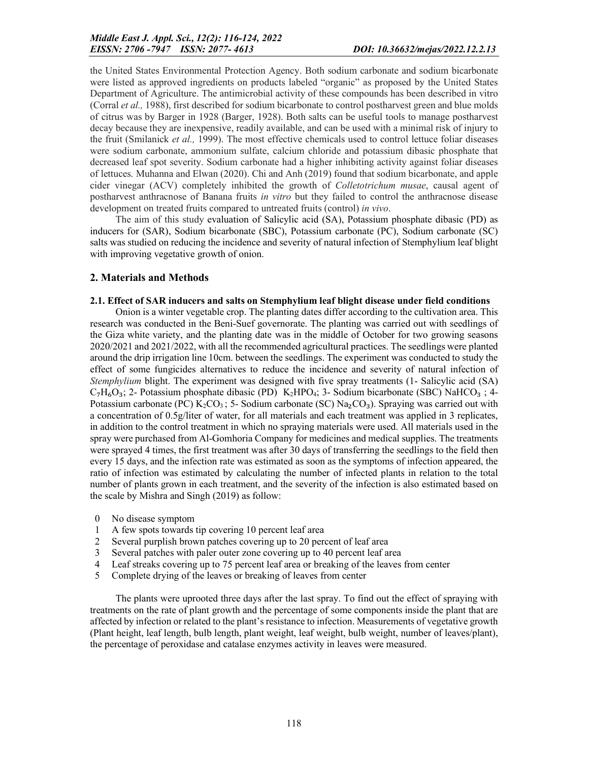the United States Environmental Protection Agency. Both sodium carbonate and sodium bicarbonate were listed as approved ingredients on products labeled "organic" as proposed by the United States Department of Agriculture. The antimicrobial activity of these compounds has been described in vitro (Corral *et al.,* 1988), first described for sodium bicarbonate to control postharvest green and blue molds of citrus was by Barger in 1928 (Barger, 1928). Both salts can be useful tools to manage postharvest decay because they are inexpensive, readily available, and can be used with a minimal risk of injury to the fruit (Smilanick *et al.,* 1999). The most effective chemicals used to control lettuce foliar diseases were sodium carbonate, ammonium sulfate, calcium chloride and potassium dibasic phosphate that decreased leaf spot severity. Sodium carbonate had a higher inhibiting activity against foliar diseases of lettuces. Muhanna and Elwan (2020). Chi and Anh (2019) found that sodium bicarbonate, and apple cider vinegar (ACV) completely inhibited the growth of *Colletotrichum musae*, causal agent of postharvest anthracnose of Banana fruits *in vitro* but they failed to control the anthracnose disease development on treated fruits compared to untreated fruits (control) *in vivo*.

The aim of this study evaluation of Salicylic acid (SA), Potassium phosphate dibasic (PD) as inducers for (SAR), Sodium bicarbonate (SBC), Potassium carbonate (PC), Sodium carbonate (SC) salts was studied on reducing the incidence and severity of natural infection of Stemphylium leaf blight with improving vegetative growth of onion.

## 2. Materials and Methods

#### 2.1. Effect of SAR inducers and salts on Stemphylium leaf blight disease under field conditions

Onion is a winter vegetable crop. The planting dates differ according to the cultivation area. This research was conducted in the Beni-Suef governorate. The planting was carried out with seedlings of the Giza white variety, and the planting date was in the middle of October for two growing seasons 2020/2021 and 2021/2022, with all the recommended agricultural practices. The seedlings were planted around the drip irrigation line 10cm. between the seedlings. The experiment was conducted to study the effect of some fungicides alternatives to reduce the incidence and severity of natural infection of *Stemphylium* blight. The experiment was designed with five spray treatments (1- Salicylic acid (SA)  $C_7H_6O_3$ ; 2- Potassium phosphate dibasic (PD) K<sub>2</sub>HPO<sub>4</sub>; 3- Sodium bicarbonate (SBC) NaHCO<sub>3</sub>; 4-Potassium carbonate (PC)  $K_2CO_3$ ; 5- Sodium carbonate (SC)  $Na_2CO_3$ ). Spraying was carried out with a concentration of 0.5g/liter of water, for all materials and each treatment was applied in 3 replicates, in addition to the control treatment in which no spraying materials were used. All materials used in the spray were purchased from Al-Gomhoria Company for medicines and medical supplies. The treatments were sprayed 4 times, the first treatment was after 30 days of transferring the seedlings to the field then every 15 days, and the infection rate was estimated as soon as the symptoms of infection appeared, the ratio of infection was estimated by calculating the number of infected plants in relation to the total number of plants grown in each treatment, and the severity of the infection is also estimated based on the scale by Mishra and Singh (2019) as follow:

- 0 No disease symptom
- 1 A few spots towards tip covering 10 percent leaf area
- 2 Several purplish brown patches covering up to 20 percent of leaf area
- 3 Several patches with paler outer zone covering up to 40 percent leaf area
- 4 Leaf streaks covering up to 75 percent leaf area or breaking of the leaves from center
- 5 Complete drying of the leaves or breaking of leaves from center

The plants were uprooted three days after the last spray. To find out the effect of spraying with treatments on the rate of plant growth and the percentage of some components inside the plant that are affected by infection or related to the plant's resistance to infection. Measurements of vegetative growth (Plant height, leaf length, bulb length, plant weight, leaf weight, bulb weight, number of leaves/plant), the percentage of peroxidase and catalase enzymes activity in leaves were measured.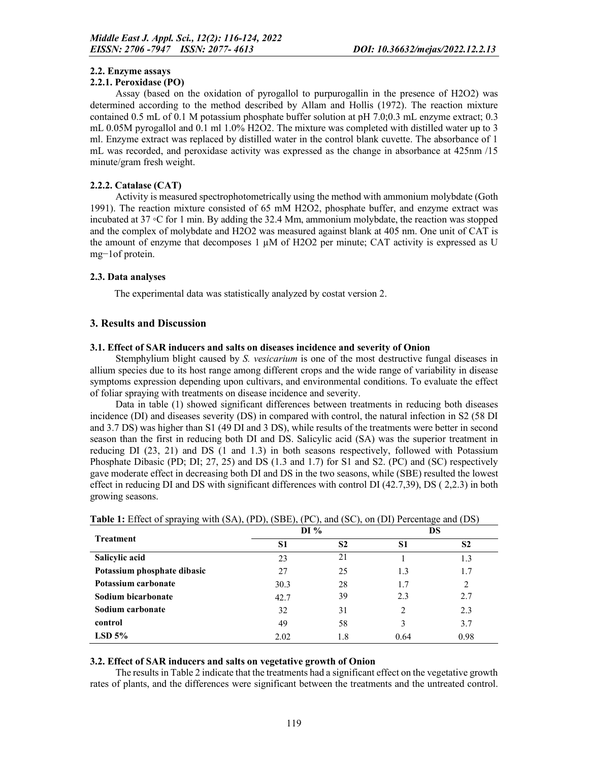### 2.2. Enzyme assays

#### 2.2.1. Peroxidase (PO)

Assay (based on the oxidation of pyrogallol to purpurogallin in the presence of H2O2) was determined according to the method described by Allam and Hollis (1972). The reaction mixture contained 0.5 mL of 0.1 M potassium phosphate buffer solution at pH 7.0;0.3 mL enzyme extract; 0.3 mL 0.05M pyrogallol and 0.1 ml 1.0% H2O2. The mixture was completed with distilled water up to 3 ml. Enzyme extract was replaced by distilled water in the control blank cuvette. The absorbance of 1 mL was recorded, and peroxidase activity was expressed as the change in absorbance at 425nm /15 minute/gram fresh weight.

### 2.2.2. Catalase (CAT)

Activity is measured spectrophotometrically using the method with ammonium molybdate (Goth 1991). The reaction mixture consisted of 65 mM H2O2, phosphate buffer, and enzyme extract was incubated at 37 ◦C for 1 min. By adding the 32.4 Mm, ammonium molybdate, the reaction was stopped and the complex of molybdate and H2O2 was measured against blank at 405 nm. One unit of CAT is the amount of enzyme that decomposes  $1 \mu M$  of H2O2 per minute; CAT activity is expressed as U mg−1of protein.

#### 2.3. Data analyses

The experimental data was statistically analyzed by costat version 2.

#### 3. Results and Discussion

#### 3.1. Effect of SAR inducers and salts on diseases incidence and severity of Onion

Stemphylium blight caused by *S. vesicarium* is one of the most destructive fungal diseases in allium species due to its host range among different crops and the wide range of variability in disease symptoms expression depending upon cultivars, and environmental conditions. To evaluate the effect of foliar spraying with treatments on disease incidence and severity.

Data in table (1) showed significant differences between treatments in reducing both diseases incidence (DI) and diseases severity (DS) in compared with control, the natural infection in S2 (58 DI and 3.7 DS) was higher than S1 (49 DI and 3 DS), while results of the treatments were better in second season than the first in reducing both DI and DS. Salicylic acid (SA) was the superior treatment in reducing DI (23, 21) and DS (1 and 1.3) in both seasons respectively, followed with Potassium Phosphate Dibasic (PD; DI; 27, 25) and DS (1.3 and 1.7) for S1 and S2. (PC) and (SC) respectively gave moderate effect in decreasing both DI and DS in the two seasons, while (SBE) resulted the lowest effect in reducing DI and DS with significant differences with control DI (42.7,39), DS ( 2,2.3) in both growing seasons.

| <b>Treatment</b>            | DI%  |                | DS   |                               |  |
|-----------------------------|------|----------------|------|-------------------------------|--|
|                             | S1   | S <sub>2</sub> | S1   | S <sub>2</sub>                |  |
| Salicylic acid              | 23   | 21             |      | 1.3                           |  |
| Potassium phosphate dibasic | 27   | 25             | 1.3  | 1.7                           |  |
| Potassium carbonate         | 30.3 | 28             | 1.7  | $\mathfrak{D}_{\mathfrak{p}}$ |  |
| Sodium bicarbonate          | 42.7 | 39             | 2.3  | 2.7                           |  |
| Sodium carbonate            | 32   | 31             | 2    | 2.3                           |  |
| control                     | 49   | 58             |      | 3.7                           |  |
| $LSD$ 5%                    | 2.02 | 1.8            | 0.64 | 0.98                          |  |

Table 1: Effect of spraying with (SA), (PD), (SBE), (PC), and (SC), on (DI) Percentage and (DS)

#### 3.2. Effect of SAR inducers and salts on vegetative growth of Onion

The results in Table 2 indicate that the treatments had a significant effect on the vegetative growth rates of plants, and the differences were significant between the treatments and the untreated control.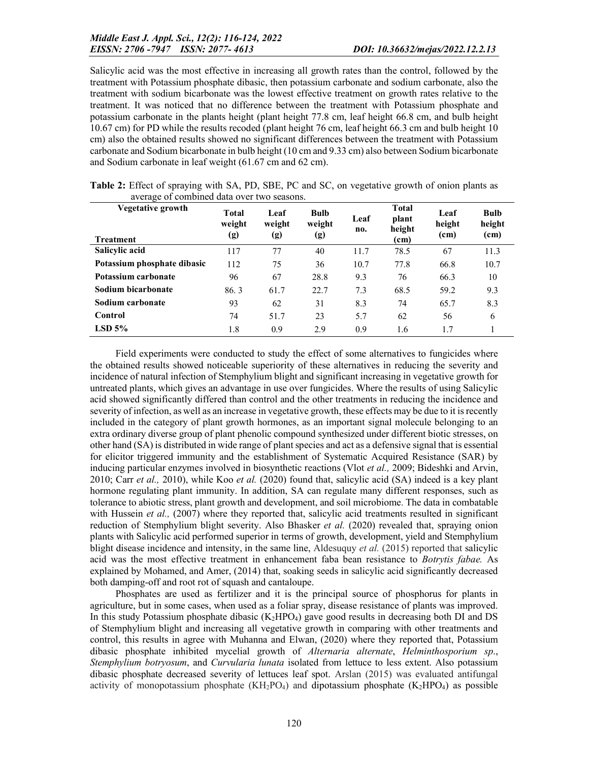Salicylic acid was the most effective in increasing all growth rates than the control, followed by the treatment with Potassium phosphate dibasic, then potassium carbonate and sodium carbonate, also the treatment with sodium bicarbonate was the lowest effective treatment on growth rates relative to the treatment. It was noticed that no difference between the treatment with Potassium phosphate and potassium carbonate in the plants height (plant height 77.8 cm, leaf height 66.8 cm, and bulb height 10.67 cm) for PD while the results recoded (plant height 76 cm, leaf height 66.3 cm and bulb height 10 cm) also the obtained results showed no significant differences between the treatment with Potassium carbonate and Sodium bicarbonate in bulb height (10 cm and 9.33 cm) also between Sodium bicarbonate and Sodium carbonate in leaf weight (61.67 cm and 62 cm).

| J<br>Vegetative growth<br><b>Treatment</b> | Total<br>weight<br>(g) | Leaf<br>weight<br>(g) | <b>Bulb</b><br>weight<br>(g) | Leaf<br>no. | <b>Total</b><br>plant<br>height<br>(c <sub>m</sub> ) | Leaf<br>height<br>(c <sub>m</sub> ) | <b>Bulb</b><br>height<br>(cm) |
|--------------------------------------------|------------------------|-----------------------|------------------------------|-------------|------------------------------------------------------|-------------------------------------|-------------------------------|
| Salicylic acid                             | 117                    | 77                    | 40                           | 11.7        | 78.5                                                 | 67                                  | 11.3                          |
| Potassium phosphate dibasic                | 112                    | 75                    | 36                           | 10.7        | 77.8                                                 | 66.8                                | 10.7                          |
| Potassium carbonate                        | 96                     | 67                    | 28.8                         | 9.3         | 76                                                   | 66.3                                | 10                            |
| Sodium bicarbonate                         | 86.3                   | 61.7                  | 22.7                         | 7.3         | 68.5                                                 | 59.2                                | 9.3                           |
| Sodium carbonate                           | 93                     | 62                    | 31                           | 8.3         | 74                                                   | 65.7                                | 8.3                           |
| Control                                    | 74                     | 51.7                  | 23                           | 5.7         | 62                                                   | 56                                  | 6                             |
| $LSD$ 5%                                   | 1.8                    | 0.9                   | 2.9                          | 0.9         | 1.6                                                  | 1.7                                 |                               |

Table 2: Effect of spraying with SA, PD, SBE, PC and SC, on vegetative growth of onion plants as average of combined data over two seasons.

Field experiments were conducted to study the effect of some alternatives to fungicides where the obtained results showed noticeable superiority of these alternatives in reducing the severity and incidence of natural infection of Stemphylium blight and significant increasing in vegetative growth for untreated plants, which gives an advantage in use over fungicides. Where the results of using Salicylic acid showed significantly differed than control and the other treatments in reducing the incidence and severity of infection, as well as an increase in vegetative growth, these effects may be due to it is recently included in the category of plant growth hormones, as an important signal molecule belonging to an extra ordinary diverse group of plant phenolic compound synthesized under different biotic stresses, on other hand (SA) is distributed in wide range of plant species and act as a defensive signal that is essential for elicitor triggered immunity and the establishment of Systematic Acquired Resistance (SAR) by inducing particular enzymes involved in biosynthetic reactions (Vlot *et al.,* 2009; Bideshki and Arvin, 2010; Carr *et al.,* 2010), while Koo *et al.* (2020) found that, salicylic acid (SA) indeed is a key plant hormone regulating plant immunity. In addition, SA can regulate many different responses, such as tolerance to abiotic stress, plant growth and development, and soil microbiome. The data in combatable with Hussein *et al.*, (2007) where they reported that, salicylic acid treatments resulted in significant reduction of Stemphylium blight severity. Also Bhasker *et al.* (2020) revealed that, spraying onion plants with Salicylic acid performed superior in terms of growth, development, yield and Stemphylium blight disease incidence and intensity, in the same line, Aldesuquy *et al.* (2015) reported that salicylic acid was the most effective treatment in enhancement faba bean resistance to *Botrytis fabae.* As explained by Mohamed, and Amer, (2014) that, soaking seeds in salicylic acid significantly decreased both damping-off and root rot of squash and cantaloupe.

Phosphates are used as fertilizer and it is the principal source of phosphorus for plants in agriculture, but in some cases, when used as a foliar spray, disease resistance of plants was improved. In this study Potassium phosphate dibasic  $(K_2HPO_4)$  gave good results in decreasing both DI and DS of Stemphylium blight and increasing all vegetative growth in comparing with other treatments and control, this results in agree with Muhanna and Elwan, (2020) where they reported that, Potassium dibasic phosphate inhibited mycelial growth of *Alternaria alternate*, *Helminthosporium sp*., *Stemphylium botryosum*, and *Curvularia lunata* isolated from lettuce to less extent. Also potassium dibasic phosphate decreased severity of lettuces leaf spot. Arslan (2015) was evaluated antifungal activity of monopotassium phosphate  $(KH_2PO_4)$  and dipotassium phosphate  $(K_2HPO_4)$  as possible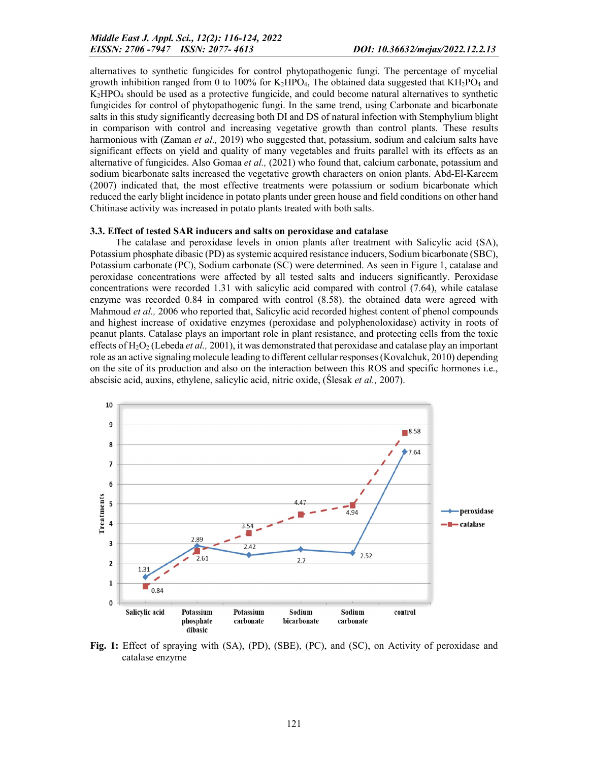alternatives to synthetic fungicides for control phytopathogenic fungi. The percentage of mycelial growth inhibition ranged from 0 to 100% for  $K_2HPO_4$ , The obtained data suggested that  $KH_2PO_4$  and K2HPO4 should be used as a protective fungicide, and could become natural alternatives to synthetic fungicides for control of phytopathogenic fungi. In the same trend, using Carbonate and bicarbonate salts in this study significantly decreasing both DI and DS of natural infection with Stemphylium blight in comparison with control and increasing vegetative growth than control plants. These results harmonious with (Zaman *et al.,* 2019) who suggested that, potassium, sodium and calcium salts have significant effects on yield and quality of many vegetables and fruits parallel with its effects as an alternative of fungicides. Also Gomaa *et al.,* (2021) who found that, calcium carbonate, potassium and sodium bicarbonate salts increased the vegetative growth characters on onion plants. Abd-El-Kareem (2007) indicated that, the most effective treatments were potassium or sodium bicarbonate which reduced the early blight incidence in potato plants under green house and field conditions on other hand Chitinase activity was increased in potato plants treated with both salts.

#### 3.3. Effect of tested SAR inducers and salts on peroxidase and catalase

The catalase and peroxidase levels in onion plants after treatment with Salicylic acid (SA), Potassium phosphate dibasic (PD) as systemic acquired resistance inducers, Sodium bicarbonate (SBC), Potassium carbonate (PC), Sodium carbonate (SC) were determined. As seen in Figure 1, catalase and peroxidase concentrations were affected by all tested salts and inducers significantly. Peroxidase concentrations were recorded 1.31 with salicylic acid compared with control (7.64), while catalase enzyme was recorded 0.84 in compared with control (8.58). the obtained data were agreed with Mahmoud *et al.,* 2006 who reported that, Salicylic acid recorded highest content of phenol compounds and highest increase of oxidative enzymes (peroxidase and polyphenoloxidase) activity in roots of peanut plants. Catalase plays an important role in plant resistance, and protecting cells from the toxic effects of H2O2 (Lebeda *et al.,* 2001), it was demonstrated that peroxidase and catalase play an important role as an active signaling molecule leading to different cellular responses (Kovalchuk, 2010) depending on the site of its production and also on the interaction between this ROS and specific hormones i.e., abscisic acid, auxins, ethylene, salicylic acid, nitric oxide, (Ślesak *et al.,* 2007).



Fig. 1: Effect of spraying with (SA), (PD), (SBE), (PC), and (SC), on Activity of peroxidase and catalase enzyme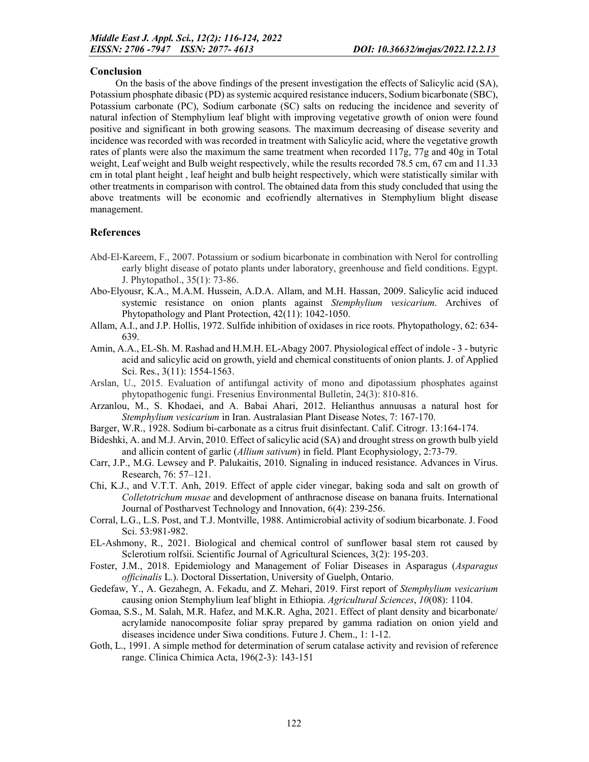## Conclusion

On the basis of the above findings of the present investigation the effects of Salicylic acid (SA), Potassium phosphate dibasic (PD) as systemic acquired resistance inducers, Sodium bicarbonate (SBC), Potassium carbonate (PC), Sodium carbonate (SC) salts on reducing the incidence and severity of natural infection of Stemphylium leaf blight with improving vegetative growth of onion were found positive and significant in both growing seasons. The maximum decreasing of disease severity and incidence was recorded with was recorded in treatment with Salicylic acid, where the vegetative growth rates of plants were also the maximum the same treatment when recorded 117g, 77g and 40g in Total weight, Leaf weight and Bulb weight respectively, while the results recorded 78.5 cm, 67 cm and 11.33 cm in total plant height , leaf height and bulb height respectively, which were statistically similar with other treatments in comparison with control. The obtained data from this study concluded that using the above treatments will be economic and ecofriendly alternatives in Stemphylium blight disease management.

### **References**

- Abd-El-Kareem, F., 2007. Potassium or sodium bicarbonate in combination with Nerol for controlling early blight disease of potato plants under laboratory, greenhouse and field conditions. Egypt. J. Phytopathol., 35(1): 73-86.
- Abo-Elyousr, K.A., M.A.M. Hussein, A.D.A. Allam, and M.H. Hassan, 2009. Salicylic acid induced systemic resistance on onion plants against *Stemphylium vesicarium*. Archives of Phytopathology and Plant Protection, 42(11): 1042-1050.
- Allam, A.I., and J.P. Hollis, 1972. Sulfide inhibition of oxidases in rice roots. Phytopathology, 62: 634- 639.
- Amin, A.A., EL-Sh. M. Rashad and H.M.H. EL-Abagy 2007. Physiological effect of indole 3 butyric acid and salicylic acid on growth, yield and chemical constituents of onion plants. J. of Applied Sci. Res., 3(11): 1554-1563.
- Arslan, U., 2015. Evaluation of antifungal activity of mono and dipotassium phosphates against phytopathogenic fungi. Fresenius Environmental Bulletin, 24(3): 810-816.
- Arzanlou, M., S. Khodaei, and A. Babai Ahari, 2012. Helianthus annuusas a natural host for *Stemphylium vesicarium* in Iran. Australasian Plant Disease Notes, 7: 167-170.
- Barger, W.R., 1928. Sodium bi-carbonate as a citrus fruit disinfectant. Calif. Citrogr. 13:164-174.
- Bideshki, A. and M.J. Arvin, 2010. Effect of salicylic acid (SA) and drought stress on growth bulb yield and allicin content of garlic (*Allium sativum*) in field. Plant Ecophysiology, 2:73-79.
- Carr, J.P., M.G. Lewsey and P. Palukaitis, 2010. Signaling in induced resistance. Advances in Virus. Research, 76: 57–121.
- Chi, K.J., and V.T.T. Anh, 2019. Effect of apple cider vinegar, baking soda and salt on growth of *Colletotrichum musae* and development of anthracnose disease on banana fruits. International Journal of Postharvest Technology and Innovation, 6(4): 239-256.
- Corral, L.G., L.S. Post, and T.J. Montville, 1988. Antimicrobial activity of sodium bicarbonate. J. Food Sci. 53:981-982.
- EL-Ashmony, R., 2021. Biological and chemical control of sunflower basal stem rot caused by Sclerotium rolfsii. Scientific Journal of Agricultural Sciences, 3(2): 195-203.
- Foster, J.M., 2018. Epidemiology and Management of Foliar Diseases in Asparagus (*Asparagus officinalis* L.). Doctoral Dissertation, University of Guelph, Ontario.
- Gedefaw, Y., A. Gezahegn, A. Fekadu, and Z. Mehari, 2019. First report of *Stemphylium vesicarium* causing onion Stemphylium leaf blight in Ethiopia. *Agricultural Sciences*, *10*(08): 1104.
- Gomaa, S.S., M. Salah, M.R. Hafez, and M.K.R. Agha, 2021. Effect of plant density and bicarbonate/ acrylamide nanocomposite foliar spray prepared by gamma radiation on onion yield and diseases incidence under Siwa conditions. Future J. Chem., 1: 1-12.
- Goth, L., 1991. A simple method for determination of serum catalase activity and revision of reference range. Clinica Chimica Acta, 196(2-3): 143-151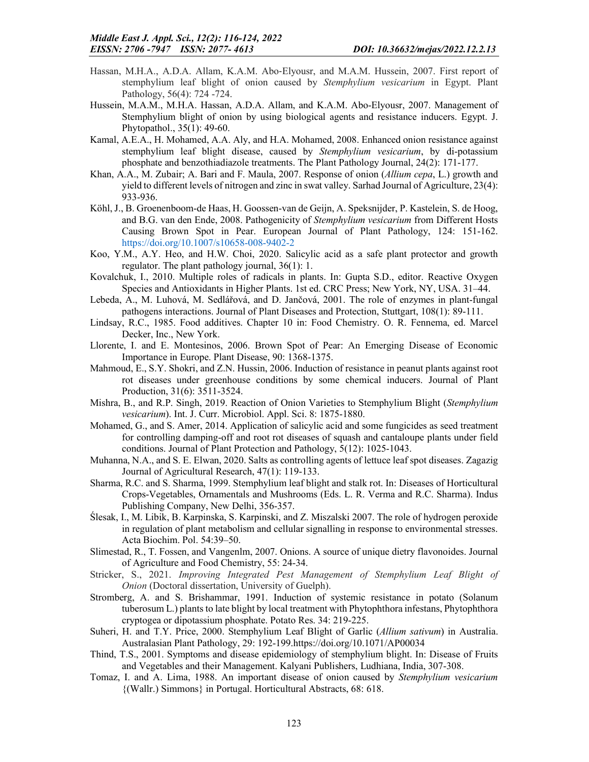- Hassan, M.H.A., A.D.A. Allam, K.A.M. Abo‐Elyousr, and M.A.M. Hussein, 2007. First report of stemphylium leaf blight of onion caused by *Stemphylium vesicarium* in Egypt. Plant Pathology, 56(4): 724 -724.
- Hussein, M.A.M., M.H.A. Hassan, A.D.A. Allam, and K.A.M. Abo-Elyousr, 2007. Management of Stemphylium blight of onion by using biological agents and resistance inducers. Egypt. J. Phytopathol., 35(1): 49-60.
- Kamal, A.E.A., H. Mohamed, A.A. Aly, and H.A. Mohamed, 2008. Enhanced onion resistance against stemphylium leaf blight disease, caused by *Stemphylium vesicarium*, by di-potassium phosphate and benzothiadiazole treatments. The Plant Pathology Journal, 24(2): 171-177.
- Khan, A.A., M. Zubair; A. Bari and F. Maula, 2007. Response of onion (*Allium cepa*, L.) growth and yield to different levels of nitrogen and zinc in swat valley. Sarhad Journal of Agriculture, 23(4): 933-936.
- Köhl, J., B. Groenenboom-de Haas, H. Goossen-van de Geijn, A. Speksnijder, P. Kastelein, S. de Hoog, and B.G. van den Ende, 2008. Pathogenicity of *Stemphylium vesicarium* from Different Hosts Causing Brown Spot in Pear. European Journal of Plant Pathology, 124: 151-162. https://doi.org/10.1007/s10658-008-9402-2
- Koo, Y.M., A.Y. Heo, and H.W. Choi, 2020. Salicylic acid as a safe plant protector and growth regulator. The plant pathology journal, 36(1): 1.
- Kovalchuk, I., 2010. Multiple roles of radicals in plants. In: Gupta S.D., editor. Reactive Oxygen Species and Antioxidants in Higher Plants. 1st ed. CRC Press; New York, NY, USA. 31–44.
- Lebeda, A., M. Luhová, M. Sedlářová, and D. Jančová, 2001. The role of enzymes in plant-fungal pathogens interactions. Journal of Plant Diseases and Protection, Stuttgart, 108(1): 89-111.
- Lindsay, R.C., 1985. Food additives. Chapter 10 in: Food Chemistry. O. R. Fennema, ed. Marcel Decker, Inc., New York.
- Llorente, I. and E. Montesinos, 2006. Brown Spot of Pear: An Emerging Disease of Economic Importance in Europe. Plant Disease, 90: 1368-1375.
- Mahmoud, E., S.Y. Shokri, and Z.N. Hussin, 2006. Induction of resistance in peanut plants against root rot diseases under greenhouse conditions by some chemical inducers. Journal of Plant Production, 31(6): 3511-3524.
- Mishra, B., and R.P. Singh, 2019. Reaction of Onion Varieties to Stemphylium Blight (*Stemphylium vesicarium*). Int. J. Curr. Microbiol. Appl. Sci. 8: 1875-1880.
- Mohamed, G., and S. Amer, 2014. Application of salicylic acid and some fungicides as seed treatment for controlling damping-off and root rot diseases of squash and cantaloupe plants under field conditions. Journal of Plant Protection and Pathology, 5(12): 1025-1043.
- Muhanna, N.A., and S. E. Elwan, 2020. Salts as controlling agents of lettuce leaf spot diseases. Zagazig Journal of Agricultural Research, 47(1): 119-133.
- Sharma, R.C. and S. Sharma, 1999. Stemphylium leaf blight and stalk rot. In: Diseases of Horticultural Crops-Vegetables, Ornamentals and Mushrooms (Eds. L. R. Verma and R.C. Sharma). Indus Publishing Company, New Delhi, 356-357.
- Ślesak, I., M. Libik, B. Karpinska, S. Karpinski, and Z. Miszalski 2007. The role of hydrogen peroxide in regulation of plant metabolism and cellular signalling in response to environmental stresses. Acta Biochim. Pol. 54:39–50.
- Slimestad, R., T. Fossen, and Vangenlm, 2007. Onions. A source of unique dietry flavonoides. Journal of Agriculture and Food Chemistry, 55: 24-34.
- Stricker, S., 2021. *Improving Integrated Pest Management of Stemphylium Leaf Blight of Onion* (Doctoral dissertation, University of Guelph).
- Stromberg, A. and S. Brishammar, 1991. Induction of systemic resistance in potato (Solanum tuberosum L.) plants to late blight by local treatment with Phytophthora infestans, Phytophthora cryptogea or dipotassium phosphate. Potato Res. 34: 219-225.
- Suheri, H. and T.Y. Price, 2000. Stemphylium Leaf Blight of Garlic (*Allium sativum*) in Australia. Australasian Plant Pathology, 29: 192-199.https://doi.org/10.1071/AP00034
- Thind, T.S., 2001. Symptoms and disease epidemiology of stemphylium blight. In: Disease of Fruits and Vegetables and their Management. Kalyani Publishers, Ludhiana, India, 307-308.
- Tomaz, I. and A. Lima, 1988. An important disease of onion caused by *Stemphylium vesicarium* {(Wallr.) Simmons} in Portugal. Horticultural Abstracts, 68: 618.